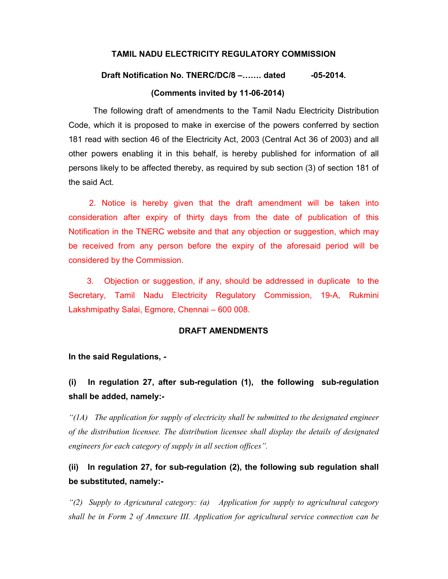#### TAMIL NADU ELECTRICITY REGULATORY COMMISSION

# Draft Notification No. TNERC/DC/8 –....... dated -05-2014. (Comments invited by 11-06-2014)

The following draft of amendments to the Tamil Nadu Electricity Distribution Code, which it is proposed to make in exercise of the powers conferred by section 181 read with section 46 of the Electricity Act, 2003 (Central Act 36 of 2003) and all other powers enabling it in this behalf, is hereby published for information of all persons likely to be affected thereby, as required by sub section (3) of section 181 of the said Act.

 2. Notice is hereby given that the draft amendment will be taken into consideration after expiry of thirty days from the date of publication of this Notification in the TNERC website and that any objection or suggestion, which may be received from any person before the expiry of the aforesaid period will be considered by the Commission.

 3. Objection or suggestion, if any, should be addressed in duplicate to the Secretary, Tamil Nadu Electricity Regulatory Commission, 19-A, Rukmini Lakshmipathy Salai, Egmore, Chennai – 600 008.

#### DRAFT AMENDMENTS

In the said Regulations, -

### (i) In regulation 27, after sub-regulation (1), the following sub-regulation shall be added, namely:-

 $\mathcal{L}(1A)$  The application for supply of electricity shall be submitted to the designated engineer of the distribution licensee. The distribution licensee shall display the details of designated engineers for each category of supply in all section offices".

## (ii) In regulation 27, for sub-regulation (2), the following sub regulation shall be substituted, namely:-

"(2) Supply to Agricutural category: (a) Application for supply to agricultural category shall be in Form 2 of Annexure III. Application for agricultural service connection can be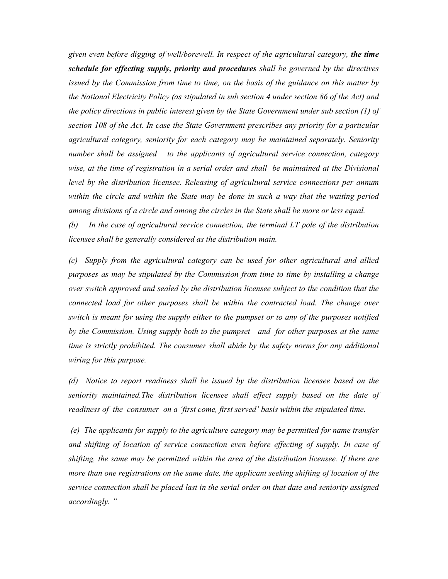given even before digging of well/borewell. In respect of the agricultural category, the time schedule for effecting supply, priority and procedures shall be governed by the directives issued by the Commission from time to time, on the basis of the guidance on this matter by the National Electricity Policy (as stipulated in sub section 4 under section 86 of the Act) and the policy directions in public interest given by the State Government under sub section (1) of section 108 of the Act. In case the State Government prescribes any priority for a particular agricultural category, seniority for each category may be maintained separately. Seniority number shall be assigned to the applicants of agricultural service connection, category wise, at the time of registration in a serial order and shall be maintained at the Divisional level by the distribution licensee. Releasing of agricultural service connections per annum within the circle and within the State may be done in such a way that the waiting period among divisions of a circle and among the circles in the State shall be more or less equal.

(b) In the case of agricultural service connection, the terminal LT pole of the distribution licensee shall be generally considered as the distribution main.

(c) Supply from the agricultural category can be used for other agricultural and allied purposes as may be stipulated by the Commission from time to time by installing a change over switch approved and sealed by the distribution licensee subject to the condition that the connected load for other purposes shall be within the contracted load. The change over switch is meant for using the supply either to the pumpset or to any of the purposes notified by the Commission. Using supply both to the pumpset and for other purposes at the same time is strictly prohibited. The consumer shall abide by the safety norms for any additional wiring for this purpose.

(d) Notice to report readiness shall be issued by the distribution licensee based on the seniority maintained.The distribution licensee shall effect supply based on the date of readiness of the consumer on a 'first come, first served' basis within the stipulated time.

 (e) The applicants for supply to the agriculture category may be permitted for name transfer and shifting of location of service connection even before effecting of supply. In case of shifting, the same may be permitted within the area of the distribution licensee. If there are more than one registrations on the same date, the applicant seeking shifting of location of the service connection shall be placed last in the serial order on that date and seniority assigned accordingly. "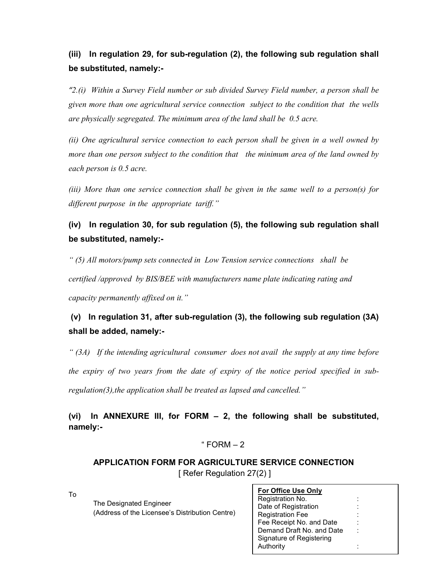## (iii) In regulation 29, for sub-regulation (2), the following sub regulation shall be substituted, namely:-

" $2.(\iota)$  Within a Survey Field number or sub divided Survey Field number, a person shall be given more than one agricultural service connection subject to the condition that the wells are physically segregated. The minimum area of the land shall be 0.5 acre.

(ii) One agricultural service connection to each person shall be given in a well owned by more than one person subject to the condition that the minimum area of the land owned by each person is 0.5 acre.

(iii) More than one service connection shall be given in the same well to a person(s) for different purpose in the appropriate tariff."

### (iv) In regulation 30, for sub regulation (5), the following sub regulation shall be substituted, namely:-

" (5) All motors/pump sets connected in Low Tension service connections shall be

certified /approved by BIS/BEE with manufacturers name plate indicating rating and capacity permanently affixed on it."

## (v) In regulation 31, after sub-regulation (3), the following sub regulation (3A) shall be added, namely:-

 $(3A)$  If the intending agricultural consumer does not avail the supply at any time before the expiry of two years from the date of expiry of the notice period specified in subregulation(3),the application shall be treated as lapsed and cancelled."

(vi) In ANNEXURE III, for FORM – 2, the following shall be substituted, namely:-

### $"$  FORM  $-2$

### APPLICATION FORM FOR AGRICULTURE SERVICE CONNECTION [ Refer Regulation 27(2) ]

To

 The Designated Engineer (Address of the Licensee's Distribution Centre)

| <b>For Office Use Only</b> |  |  |  |  |  |  |  |  |
|----------------------------|--|--|--|--|--|--|--|--|
| Registration No.           |  |  |  |  |  |  |  |  |
| Date of Registration       |  |  |  |  |  |  |  |  |
| <b>Registration Fee</b>    |  |  |  |  |  |  |  |  |
| Fee Receipt No. and Date   |  |  |  |  |  |  |  |  |
| Demand Draft No. and Date  |  |  |  |  |  |  |  |  |
| Signature of Registering   |  |  |  |  |  |  |  |  |
| Authority                  |  |  |  |  |  |  |  |  |
|                            |  |  |  |  |  |  |  |  |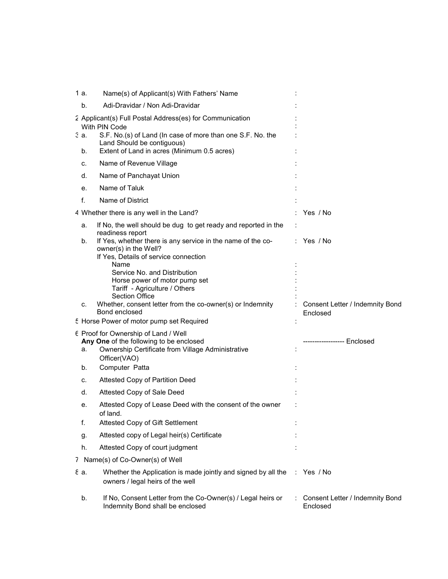| 1 a.       | Name(s) of Applicant(s) With Fathers' Name                                                                                                                                                                                  |                                             |
|------------|-----------------------------------------------------------------------------------------------------------------------------------------------------------------------------------------------------------------------------|---------------------------------------------|
| b.         | Adi-Dravidar / Non Adi-Dravidar                                                                                                                                                                                             |                                             |
| 3 a.<br>b. | 2 Applicant(s) Full Postal Address(es) for Communication<br>With PIN Code<br>S.F. No.(s) of Land (In case of more than one S.F. No. the<br>Land Should be contiguous)<br>Extent of Land in acres (Minimum 0.5 acres)        |                                             |
| C.         | Name of Revenue Village                                                                                                                                                                                                     |                                             |
| d.         | Name of Panchayat Union                                                                                                                                                                                                     |                                             |
| е.         | Name of Taluk                                                                                                                                                                                                               |                                             |
| f.         | Name of District                                                                                                                                                                                                            |                                             |
|            |                                                                                                                                                                                                                             |                                             |
|            | 4 Whether there is any well in the Land?                                                                                                                                                                                    | Yes / No                                    |
| a.<br>b.   | If No, the well should be dug to get ready and reported in the<br>readiness report<br>If Yes, whether there is any service in the name of the co-<br>owner(s) in the Well?<br>If Yes, Details of service connection<br>Name | $:$ Yes /No                                 |
| c.         | Service No. and Distribution<br>Horse power of motor pump set<br>Tariff - Agriculture / Others<br><b>Section Office</b><br>Whether, consent letter from the co-owner(s) or Indemnity<br>Bond enclosed                       | Consent Letter / Indemnity Bond<br>Enclosed |
|            | 5 Horse Power of motor pump set Required                                                                                                                                                                                    |                                             |
| а.<br>b.   | 6 Proof for Ownership of Land / Well<br>Any One of the following to be enclosed<br>Ownership Certificate from Village Administrative<br>Officer(VAO)<br>Computer Patta                                                      | ----------------- Enclosed                  |
| c.         | Attested Copy of Partition Deed                                                                                                                                                                                             |                                             |
| d.         | Attested Copy of Sale Deed                                                                                                                                                                                                  |                                             |
| е.         | Attested Copy of Lease Deed with the consent of the owner<br>of land.                                                                                                                                                       |                                             |
| f.         | Attested Copy of Gift Settlement                                                                                                                                                                                            |                                             |
| g.         | Attested copy of Legal heir(s) Certificate                                                                                                                                                                                  |                                             |
| h.         | Attested Copy of court judgment                                                                                                                                                                                             |                                             |
|            | 7 Name(s) of Co-Owner(s) of Well                                                                                                                                                                                            |                                             |
| εa.        | Whether the Application is made jointly and signed by all the<br>owners / legal heirs of the well                                                                                                                           | : Yes / No                                  |
| b.         | If No, Consent Letter from the Co-Owner(s) / Legal heirs or<br>Indemnity Bond shall be enclosed                                                                                                                             | Consent Letter / Indemnity Bond<br>Enclosed |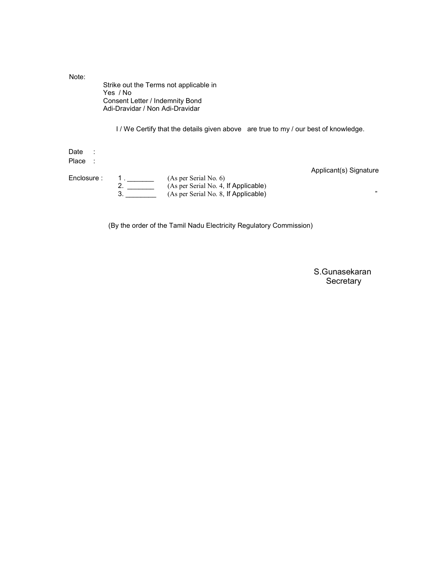| Note:         | Yes / No<br>Consent Letter / Indemnity Bond<br>Adi-Dravidar / Non Adi-Dravidar | Strike out the Terms not applicable in                                            |                        |
|---------------|--------------------------------------------------------------------------------|-----------------------------------------------------------------------------------|------------------------|
|               |                                                                                | I/We Certify that the details given above are true to my / our best of knowledge. |                        |
| Date<br>Place |                                                                                |                                                                                   |                        |
|               |                                                                                |                                                                                   | Applicant(s) Signature |
| Enclosure:    | 2.                                                                             | (As per Serial No. 6)                                                             |                        |
|               | 3.                                                                             | (As per Serial No. 4, If Applicable)<br>(As per Serial No. 8, If Applicable)      | $33 -$                 |

(By the order of the Tamil Nadu Electricity Regulatory Commission)

 S.Gunasekaran **Secretary**